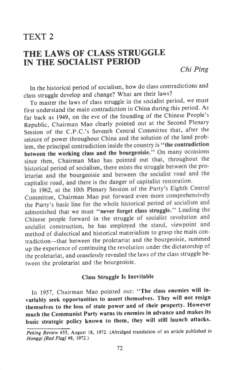## $TEXT$ <sub>2</sub>

# THE LAWS OF CLASS STRUGGLE IN THE SOCIALIST PERIOD

Chi Ping

In the historical period of socialism, how do class contradictions and class struggle develop and change? What are their laws?

To master the laws of class struggle in the socialist period, we must first understand the main contradiction in China during this period. As far back as 1949, on the eve of the founding of the Chinese People's Republic, Chairman Mao clearly pointed out at the Second Plenary Session of the C.P.C.'s Seventh Central Committee that, after the seizure of power throughout China and the solution of the land problem, the principal contradiction inside the country is "the contradiction between the working class and the bourgeoisie." On many occasions since then, Chairman Mao has pointed out that, throughout the historical period of socialism, there exists the struggle between the proletariat and the bourgeoisie and between the socialist road and the capitalist road, and there is the danger of capitalist restoration.

In 1962, at the 10th Plenary Session of the Party's Eighth Central Committee, Chairman Mao put forward even more comprehensively the Party's basic line for the whole historical period of socialism and admonished that we must "never forget class struggle." Leading the Chinese people forward in the struggle of socialist revolution and socialist construction, he has employed the stand, viewpoint and method of dialectical and historical materialism to grasp the main contradiction-that between the proletariat and the bourgeoisie, summed up the experience of continuing the revolution under the dictatorship of the proletariat, and ceaselessly revealed the laws of the class struggle between the proletariat and the bourgeoisie.

#### Class Struggle Is Inevitable

In 1957, Chairman Mao pointed out: "The class enemies will invariably seek opportunities to assert themselves. They will not resign themselves to the loss of state power and of their property. However much the communist Party warns its enemies in advance and makes its basic strategic policy known to them, they will still launch attacks.

Peking Review #33, August 18, 1972. (Abridged translation of an article published in Hongqi [Red Flag] #8, 1972.)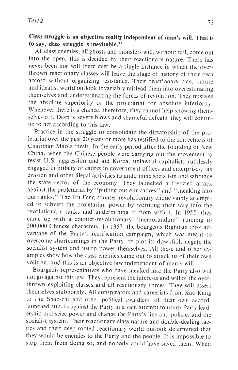## class struggle is an objective reality independent of man's will. That is to say, class struggle is inevitable."

All class enemies, all ghosts and monsters will, without fail, come out into the open, this is decided by their reactionary nature. There has never been nor will there ever be a single instance in which the overthrown reactionary classes will leave the stage of history of their own accord without organizing resistance. Their reactionary class nature and idealist world outlook invariably mislead them into overestimating themselves and underestimating the forces of revolution. They mistake the absolute superiority of the proletariat for absolute inferiority. Whenever there is a chance, therefore, they cannot help showing themselves off. Despite severe blows and shameful defeats, they will continue to act according to this law.

Practice in the struggle to consolidate the dictatorship of the proletariat over the past 20 years or more has testified to the correctness of Chairman Mao's thesis. In the early period after the founding of New China, when the Chinese people were carrying out the movement to resist U.S. aggression and aid Korea, unlawful capitalists ruthlessly engaged in bribery of cadres in government offices and enterprises, tax evasion and other illegal activities to undermine socialism and sabotage the state sector of the economy. They launched a frenzied attack against the proletariat by "pulling out our cadres" and "sneaking into our ranks." The Hu Feng counter-revolutionary clique vainly attempted to subvert the proletarian power by worming their way into the revolutionary ranks and undermining it from within. In 1955, they came up with a counter-revolutionary "memorandum" running to 300,000 Chinese characters. In 1957, the bourgeois Rightists took advantage of the Party's rectification campaign, which was meant to overcome shortcomings in the Party, to plot its downfall, negate the socialist system and usurp power themselves. All these and other examples show how the class enemies came out to attack us of their own volition, and this is an objective law independent of man's will.

Bourgeois representatives who have sneaked into the party also will not go against this law. They represent the interests and will of the overthrown exploiting classes and all reactionary forces. They will assert themselves stubbornly. All conspirators and careerists from Kao Kang to Liu Shao-chi and other political swindlers, of their own accord, launched attacks against the Party in a vain attempt to usurp Party leadership and seize power and change the Party's line and policies and the socialist system. Their reactionary class nature and double-dealing tactics and their deep-rooted reactionary world outlook determined that they would be enemies to the Party and the people. It is impossible to stop them from doing so, and nobody could have saved them. When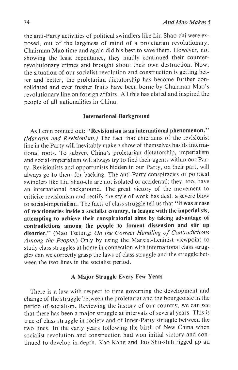the anti-Party activities of political swindlers like Liu Shao-chi were exposed, out of the largeness of mind of a proletarian revolutionary, Chairman Mao time and again did his best to save them. However, not showing the least repentance, they madly continued their counterrevolutionary crimes and brought about their own destruction. Now, the situation of our socialist revolution and construction is getting better and better, the proletarian dictatorship has become further consolidated and ever fresher fruits have been borne by Chairman Mao's revolutionary line on foreign affairs. All this has elated and inspired the people of all nationalities in China.

### International Background

As Lenin pointed out: "Revisionism is an international phenomenon." (Marxism and Revisionism.) The fact that chieftains of the revisionist line in the Party will inevitably make a show of themselves has its international roots. To subvert China's proletarian dictatorship, imperialism and social-imperialism will always try to find their agents within our Party. Revisionists and opportunists hidden in our Party, on their part, will always go to them for backing. The anti-Party conspiracies of political swindlers like Liu Shao-chi are not isolated or accidental; they, too, have an international background. The great victory of the movement to criticize revisionism and rectify the style of work has dealt a severe blow to social-imperialism. The facts of class struggle tell us that "it was a'case of reactionaries inside a socialist country, in league with the imperialists, attempting to achieve their conspiratorial aims by taking advantage of contradictions among the people to foment dissension and stir up disorder." (Mao Tsetung: On the Correct Handling of Contradictions Among the People.) Only by using the Marxist-Leninist viewpoint to study class struggles at home in connection with international class struggles can we correctly grasp the laws of class struggle and the struggle between the two lines in the socialist period.

#### A Major Struggle Every Few Years

There is a law with respect to time governing the development and change of the struggle between the proletariat and the bourgeoisie in the period of socialism. Reviewing the history of our country, we can see that there has been a major struggle at intervals of several years. This is true of class struggle in society and of inner-Party struggle between the two lines. In the early years following the birth of New China when socialist revolution and construction had won initial victory and continued to develop in depth, Kao Kang and Jao Shu-shih rigged up an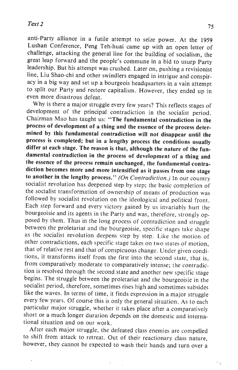anti-Party alliance in a futile attempt to seize power. At the <sup>1959</sup> Lushan conference, Peng Teh-huai came up with an open letter of challenge, attacking the general line for the building of socialism, the great leap forward and the people's commune in a bid to usurp party leadership. But his attempt was crushed. Later on, pushing a revisionist line, Liu Shao-chi and other swindlers engaged in intrigue and conspiracy in a big way and set up a bourgeois headquarters in a vain attempt to split our Party and restore capitalism. However, they ended up in even more disastrous defeat.

why is there a major struggle every few years? This reflects stages of development of the principal contradiction in the socialist period. chairman Mao has taught us: "The fundamental contradiction in the process of development of a thing and the essence of the process determined by this fundamental contradiction will not disappear until the process is completed; but in a lengthy process the conditions usually differ at each stage. The reason is that, although the nature of the fundamental contradiction in the process of development of a thing and the essence of the process remain unchanged, the fundamental contradiction becomes more and more intensified as it passes from one stage to another in the lengthy process." (On Contradiction.) In our country socialist revolution has deepened step by step; the basic completion of the socialist transformation of ownership of means of production was followed by socialist revolution on the ideological and political front. Each step forward and every victory gained by us invariably hurt the bourgeoisie and its agents in the Party and was, therefore, strongly opposed by them. Thus in the long process of contradiction and struggle between the proletariat and the bourgeoisie, specific stages take shape as the socialist revolution deepens step by step. Like the motion of other contradictions, each specific stage takes on two states of motion, that of relative rest and that of conspicuous change. Under given conditions, it transforms itself from the first into the second state, that is, from comparatively moderate to comparatively intense; the contradiction is resolved through the second state and another new specific stage begins. The struggle between the proletariat and the bourgeoisie in the socialist period, therefore, sometimes rises high and sometimes subsides like the waves. In terms of time, it finds expression in a major struggle every few years. of course this is only the general situation. As to each particular major struggle, whether it takes place after a comparatively short or a much longer duration depends on the domestic and international situation and on our work.

After each major struggle, the defeated class enemies are compelled to shift from attack to retreat. Out of their reactionary class nature, however, they cannot be expected to wash their hands and turn over <sup>a</sup>

 $\mathcal{C}_{\mathcal{A}}$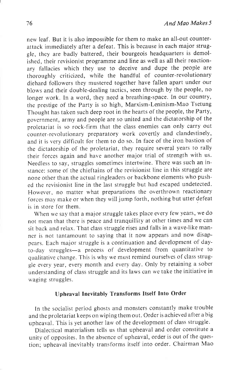new leaf. But it is also impossible for them to make an all-out counterattack immediately after a defeat. This is because in each major struggle, they are badly battered, their bourgeois headquarters is demolished, their revisionist programme and line as well as all their reactionary fallacies which they use to deceive and dupe the people are thoroughly criticized, while the handful of counter-revolutionary diehard followers they mustered together have fallen apart under our blows and their double-dealing tactics, seen through by the people, no longer work. In a word, they need a breathing-space. In our country, the prestige of the Party is so high, Marxism-Leninism-Mao Tsetung Thought has taken such deep root in the hearts of the people, the Party, government, army and people are so united and the dictatorship of the proletariat is so rock-firm that the class enemies can only carry out counter-revolutionary preparatory work covertly and clandestinely, and it is very difficult for them to do so. In face of the iron bastion of the dictatorship of the proletariat, they require several years to rally their forces again and have another major trial of strength with us. Needless to say, struggles sometimes intertwine. There was such an instance: some of the chieftains of the revisionist line in this struggle are none other than the actual ringleaders or backbone elements who pushed the revisionist line in the last struggle but had escaped undetected. However, no matter what preparations the overthrown reactionary forces may make or when they will jump forth, nothing but utter defeat is in store for them.

When we say that a major struggle takes place every few years, we do not mean that there is peace and tranquillity at other times and we can sit back and relax. That class struggle rises and falls in a wave-like manner is not tantamount to saying that it now appears and now disappears. Each major struggle is a continuation and development of dayto-day struggles-a process of development from quantitative to qualitative change. This is why we must remind ourselves of class struggle every year, every month and every day. Only by retaining a sober understanding of class struggle and its laws can we take the initiative in waging struggles.

## Upheaval Inevitably Transforms Itself Into Order

In the socialist period ghosts and monsters constantly make trouble and the proletariat keeps on wiping them out. Order is achieved after a big upheaval. This is yet another law of the development of class struggle.

Dialectical materialism tells us that upheaval and order constitute a unity of opposites. In the absence of upheaval, order is out of the question; upheaval inevitably transforms itself into order. Chairman Mao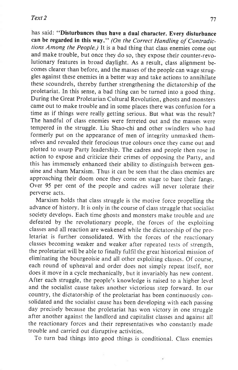has said: "Disturbances thus have a dual character. Every disturbance can be regarded in this way." (On the Correct Handling of Contradictions Among the People.) It is a bad thing that class enemies come out and make trouble, but once they do so, they expose their counter-revolutionary features in broad daylight. As a result, class alignment becomes clearer than before, and the masses of the people can wage struggles against these enemies in a better way and take actions to annihilate these scoundrels, thereby further strengthening the dictatorship of the proletariat. In this sense, a bad thing can be turned into a good thing. During the Great Proletarian Cultural Revolution, ghosts and monsters came out to make trouble and in some places there was confusion for a time as if things were really getting serious. But what was the result? The handful of class enemies were ferreted out and the masses were tempered in the struggle. Liu Shao-chi and other swindlers who had formerly put on the appearance of men of integrity unmasked themselves and revealed their ferocious true colours once they came out and plotted to usurp Party leadership. The cadres and people then rose in action to expose and criticize their crimes of opposing the party, and this has immensely enhanced their ability to distinguish between genuine and sham Marxism. Thus it can be seen that the class enemies are approaching their doom once they come on stage to bare their fangs. Over 95 per cent of the people and cadres will never tolerate their perverse acts.

Marxism holds that class struggle is the motive force propelling the advance of history. It is only in the course of class struggle that socialist society develops. Each time ghosts and monsters make trouble and are defeated by the revolutionary people, the forces of the exploiting classes and all reaction are weakened while the dictatorship of the proletariat is further consolidated. With the forces of the reactionary classes becoming weaker and weaker after repeated tests of strength, the proletariat will be able to finally fulfil the great historical mission of eliminating the bourgeoisie and all other exploiting classes. Of course, each round of upheaval and order does not simply repeat itself, nor does it move in a cycle mechanically, but it invariably has new content. After each struggle, the people's knowledge is raised to a higher level and the socialist cause takes another victorious step forward. In our country, the dictatorship of the proletariat has been continuously consolidated and the socialist cause has been developing with each passing day precisely because the proletariat has won victory in one struggle after another against the landlord and capitalist classes and against all the reactionary forces and their representatives who constantly made trouble and carried out disruptive activities.

To turn bad things into good things is conditional. Class enemies